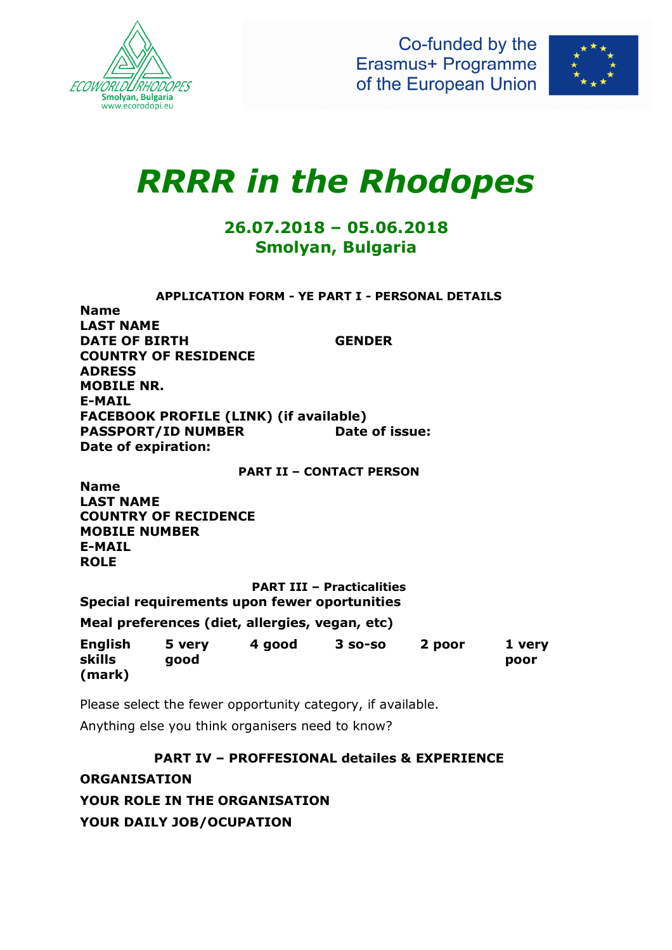

Co-funded by the Erasmus+ Programme of the European Union



## *RRRR in the Rhodopes*

## **26.07.2018 – 05.06.2018 Smolyan, Bulgaria**

**APPLICATION FORM - YE PART I - PERSONAL DETAILS**

**Name LAST NAME DATE OF BIRTH GENDER COUNTRY OF RESIDENCE ADRESS MOBILE NR. E-MAIL FACEBOOK PROFILE (LINK) (if available) PASSPORT/ID NUMBER** Date of issue: **Date of expiration:** 

**PART II – CONTACT PERSON**

**Name LAST NAME COUNTRY OF RECIDENCE MOBILE NUMBER E-MAIL ROLE** 

**PART III – Practicalities Special requirements upon fewer oportunities** 

**Meal preferences (diet, allergies, vegan, etc)** 

| <b>English</b> | 5 verv | 4 good | $3$ so-so | 2 poor | 1 verv |
|----------------|--------|--------|-----------|--------|--------|
| skills         | good   |        |           |        | poor   |
| (mark)         |        |        |           |        |        |

Please select the fewer opportunity category, if available. Anything else you think organisers need to know?

**PART IV – PROFFESIONAL detailes & EXPERIENCE**

**ORGANISATION YOUR ROLE IN THE ORGANISATION YOUR DAILY JOB/OCUPATION**